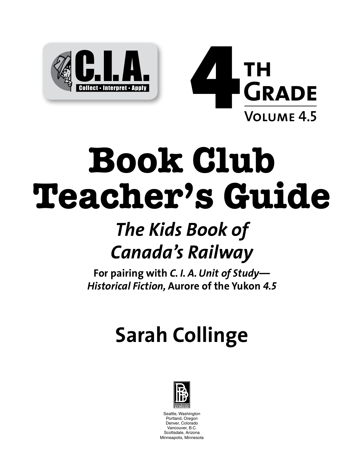



# **Book Club Teacher's Guide**

# *The Kids Book of Canada's Railway*

**For pairing with** *C. I. A. Unit of Study— Historical Fiction,* **Aurore of the Yukon** *4.5*

# **Sarah Collinge**



Seattle, Washington Portland, Oregon Denver, Colorado Vancouver, B.C. Scottsdale, Arizona Minneapolis, Minnesota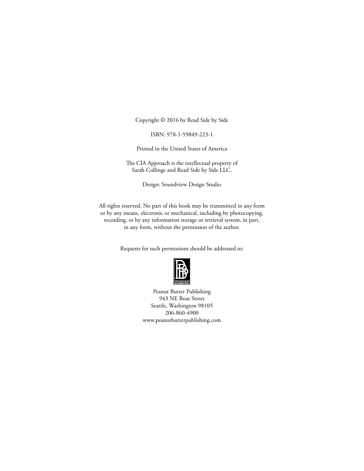Copyright © 2016 by Read Side by Side

ISBN: 978-1-59849-223-1

Printed in the United States of America

The CIA Approach is the intellectual property of Sarah Collinge and Read Side by Side LLC.

Design: Soundview Design Studio

All rights reserved. No part of this book may be transmitted in any form or by any means, electronic or mechanical, including by photocopying, recording, or by any information storage or retrieval system, in part, in any form, without the permission of the author.

Requests for such permissions should be addressed to:



Peanut Butter Publishing 943 NE Boat Street Seattle, Washington 98105 206-860-4900 www.peanutbutterpublishing.com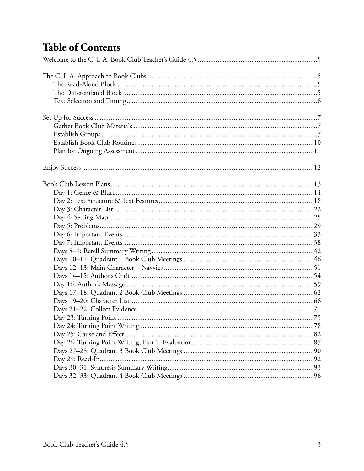# **Table of Contents**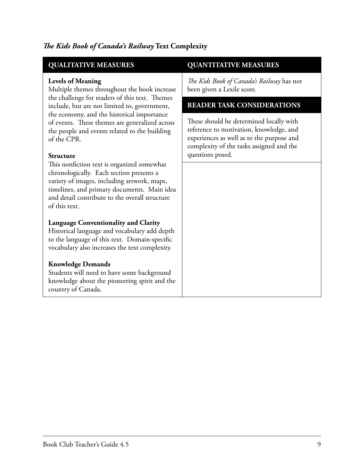| <b>QUALITATIVE MEASURES</b>                                                                                                                                                                                                                                                                                                                | <b>QUANTITATIVE MEASURES</b>                                                                                                                                                |
|--------------------------------------------------------------------------------------------------------------------------------------------------------------------------------------------------------------------------------------------------------------------------------------------------------------------------------------------|-----------------------------------------------------------------------------------------------------------------------------------------------------------------------------|
| <b>Levels of Meaning</b><br>Multiple themes throughout the book increase<br>the challenge for readers of this text. Themes<br>include, but are not limited to, government,<br>the economy, and the historical importance<br>of events. These themes are generalized across<br>the people and events related to the building<br>of the CPR. | The Kids Book of Canada's Railway has not<br>been given a Lexile score.                                                                                                     |
|                                                                                                                                                                                                                                                                                                                                            | <b>READER TASK CONSIDERATIONS</b>                                                                                                                                           |
|                                                                                                                                                                                                                                                                                                                                            | These should be determined locally with<br>reference to motivation, knowledge, and<br>experiences as well as to the purpose and<br>complexity of the tasks assigned and the |
| <b>Structure</b>                                                                                                                                                                                                                                                                                                                           | questions posed.                                                                                                                                                            |
| This nonfiction text is organized somewhat<br>chronologically. Each section presents a<br>variety of images, including artwork, maps,<br>timelines, and primary documents. Main idea<br>and detail contribute to the overall structure<br>of this text.                                                                                    |                                                                                                                                                                             |
| <b>Language Conventionality and Clarity</b><br>Historical language and vocabulary add depth<br>to the language of this text. Domain-specific<br>vocabulary also increases the text complexity.                                                                                                                                             |                                                                                                                                                                             |
| <b>Knowledge Demands</b><br>Students will need to have some background<br>knowledge about the pioneering spirit and the<br>country of Canada.                                                                                                                                                                                              |                                                                                                                                                                             |

#### *Te Kids Book of Canada's Railway* **Text Complexity**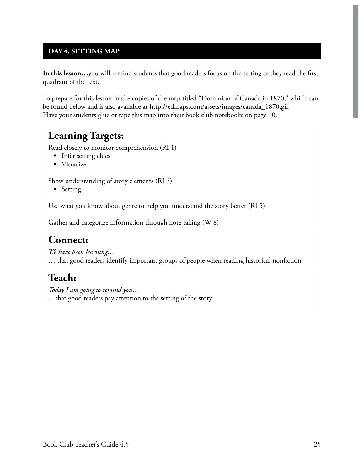#### **DAY 4, SETTING MAP**

**In this lesson…**you will remind students that good readers focus on the setting as they read the frst quadrant of the text.

To prepare for this lesson, make copies of the map titled "Dominion of Canada in 1870," which can be found below and is also available at http://edmaps.com/assets/images/canada\_1870.gif. Have your students glue or tape this map into their book club notebooks on page 10.

#### **Learning Targets:**

Read closely to monitor comprehension (RI 1)

- Infer setting clues
- Visualize

Show understanding of story elements (RI 3)

• Setting

Use what you know about genre to help you understand the story better (RI 5)

Gather and categorize information through note taking (W 8)

#### **Connect:**

*We have been learning…* … that good readers identify important groups of people when reading historical nonfction.

#### **Teach:**

*Today I am going to remind you*… …that good readers pay attention to the setting of the story.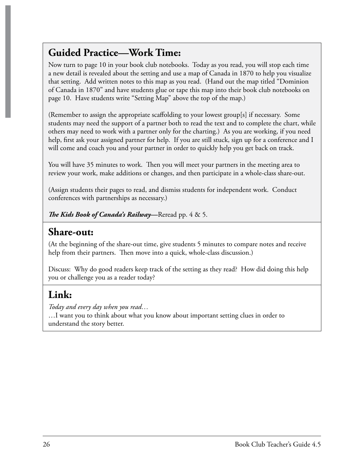### **Guided Practice—Work Time:**

Now turn to page 10 in your book club notebooks. Today as you read, you will stop each time a new detail is revealed about the setting and use a map of Canada in 1870 to help you visualize that setting. Add written notes to this map as you read. (Hand out the map titled "Dominion of Canada in 1870" and have students glue or tape this map into their book club notebooks on page 10. Have students write "Setting Map" above the top of the map.)

(Remember to assign the appropriate scafolding to your lowest group[s] if necessary. Some students may need the support of a partner both to read the text and to complete the chart, while others may need to work with a partner only for the charting.) As you are working, if you need help, frst ask your assigned partner for help. If you are still stuck, sign up for a conference and I will come and coach you and your partner in order to quickly help you get back on track.

You will have 35 minutes to work. Then you will meet your partners in the meeting area to review your work, make additions or changes, and then participate in a whole-class share-out.

(Assign students their pages to read, and dismiss students for independent work. Conduct conferences with partnerships as necessary.)

*Te Kids Book of Canada's Railway***—**Reread pp. 4 & 5.

#### **Share-out:**

(At the beginning of the share-out time, give students 5 minutes to compare notes and receive help from their partners. Then move into a quick, whole-class discussion.)

Discuss: Why do good readers keep track of the setting as they read? How did doing this help you or challenge you as a reader today?

#### **Link:**

*Today and every day when you read…*

…I want you to think about what you know about important setting clues in order to understand the story better.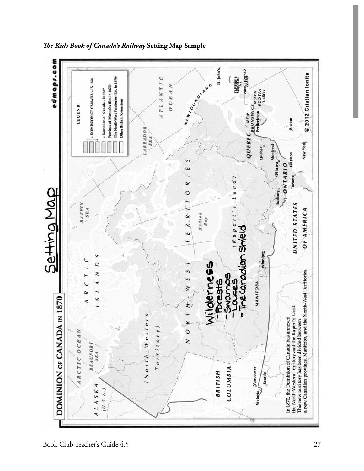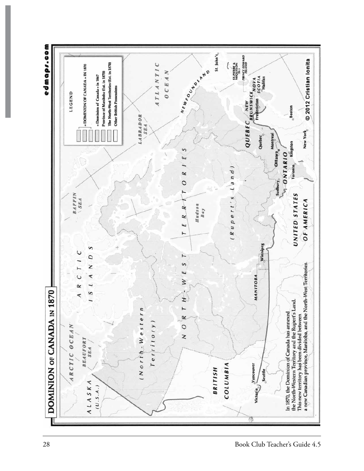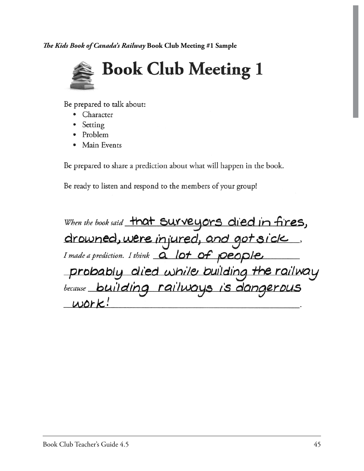*Te Kids Book of Canada's Railway* **Book Club Meeting #1 Sample**



Be prepared to talk about:

- Character
- Setting  $\bullet$
- Problem
- Main Events

Be prepared to share a prediction about what will happen in the book.

Be ready to listen and respond to the members of your group!

When the book said that Surveyors died in fires, drowned, were injured, and got sick. probably died while building the railway because building railways is dangerous  $work!$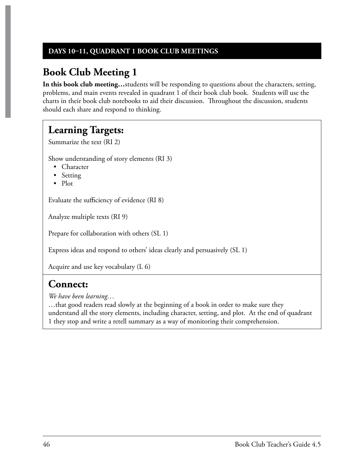#### **DAYS 1011, QUADRANT 1 BOOK CLUB MEETINGS**

# **Book Club Meeting 1**

**In this book club meeting…**students will be responding to questions about the characters, setting, problems, and main events revealed in quadrant 1 of their book club book. Students will use the charts in their book club notebooks to aid their discussion. Throughout the discussion, students should each share and respond to thinking.

### **Learning Targets:**

Summarize the text (RI 2)

Show understanding of story elements (RI 3)

- Character
- Setting
- $\bullet$  Plot

Evaluate the sufficiency of evidence (RI 8)

Analyze multiple texts (RI 9)

Prepare for collaboration with others (SL 1)

Express ideas and respond to others' ideas clearly and persuasively (SL 1)

Acquire and use key vocabulary (L 6)

#### **Connect:**

*We have been learning…*

…that good readers read slowly at the beginning of a book in order to make sure they understand all the story elements, including character, setting, and plot. At the end of quadrant 1 they stop and write a retell summary as a way of monitoring their comprehension.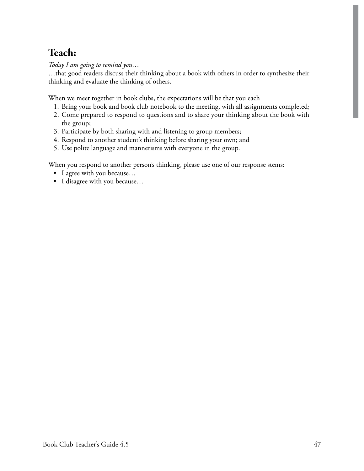# **Teach:**

*Today I am going to remind you…*

…that good readers discuss their thinking about a book with others in order to synthesize their thinking and evaluate the thinking of others.

When we meet together in book clubs, the expectations will be that you each

- 1. Bring your book and book club notebook to the meeting, with all assignments completed;
- 2. Come prepared to respond to questions and to share your thinking about the book with the group;
- 3. Participate by both sharing with and listening to group members;
- 4. Respond to another student's thinking before sharing your own; and
- 5. Use polite language and mannerisms with everyone in the group.

When you respond to another person's thinking, please use one of our response stems:

- I agree with you because...
- I disagree with you because...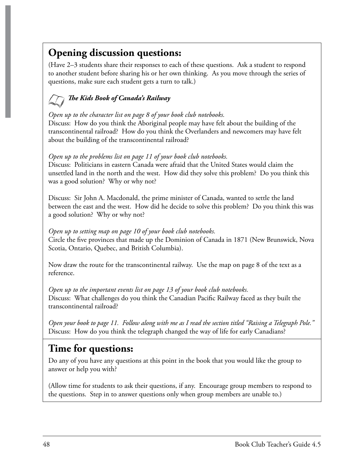# **Opening discussion questions:**

(Have 2–3 students share their responses to each of these questions. Ask a student to respond to another student before sharing his or her own thinking. As you move through the series of questions, make sure each student gets a turn to talk.)

#### *Te Kids Book of Canada's Railway*

#### *Open up to the character list on page 8 of your book club notebooks.*

Discuss: How do you think the Aboriginal people may have felt about the building of the transcontinental railroad? How do you think the Overlanders and newcomers may have felt about the building of the transcontinental railroad?

#### *Open up to the problems list on page 11 of your book club notebooks.*

Discuss: Politicians in eastern Canada were afraid that the United States would claim the unsettled land in the north and the west. How did they solve this problem? Do you think this was a good solution? Why or why not?

Discuss: Sir John A. Macdonald, the prime minister of Canada, wanted to settle the land between the east and the west. How did he decide to solve this problem? Do you think this was a good solution? Why or why not?

#### *Open up to setting map on page 10 of your book club notebooks.*

Circle the fve provinces that made up the Dominion of Canada in 1871 (New Brunswick, Nova Scotia, Ontario, Quebec, and British Columbia).

Now draw the route for the transcontinental railway. Use the map on page 8 of the text as a reference.

*Open up to the important events list on page 13 of your book club notebooks.* Discuss: What challenges do you think the Canadian Pacifc Railway faced as they built the transcontinental railroad?

*Open your book to page 11. Follow along with me as I read the section titled "Raising a Telegraph Pole."* Discuss: How do you think the telegraph changed the way of life for early Canadians?

# **Time for questions:**

Do any of you have any questions at this point in the book that you would like the group to answer or help you with?

(Allow time for students to ask their questions, if any. Encourage group members to respond to the questions. Step in to answer questions only when group members are unable to.)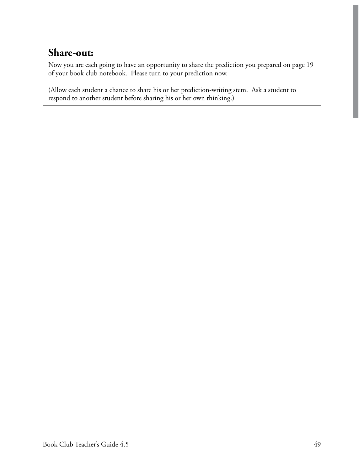#### **Share-out:**

Now you are each going to have an opportunity to share the prediction you prepared on page 19 of your book club notebook. Please turn to your prediction now.

(Allow each student a chance to share his or her prediction-writing stem. Ask a student to respond to another student before sharing his or her own thinking.)